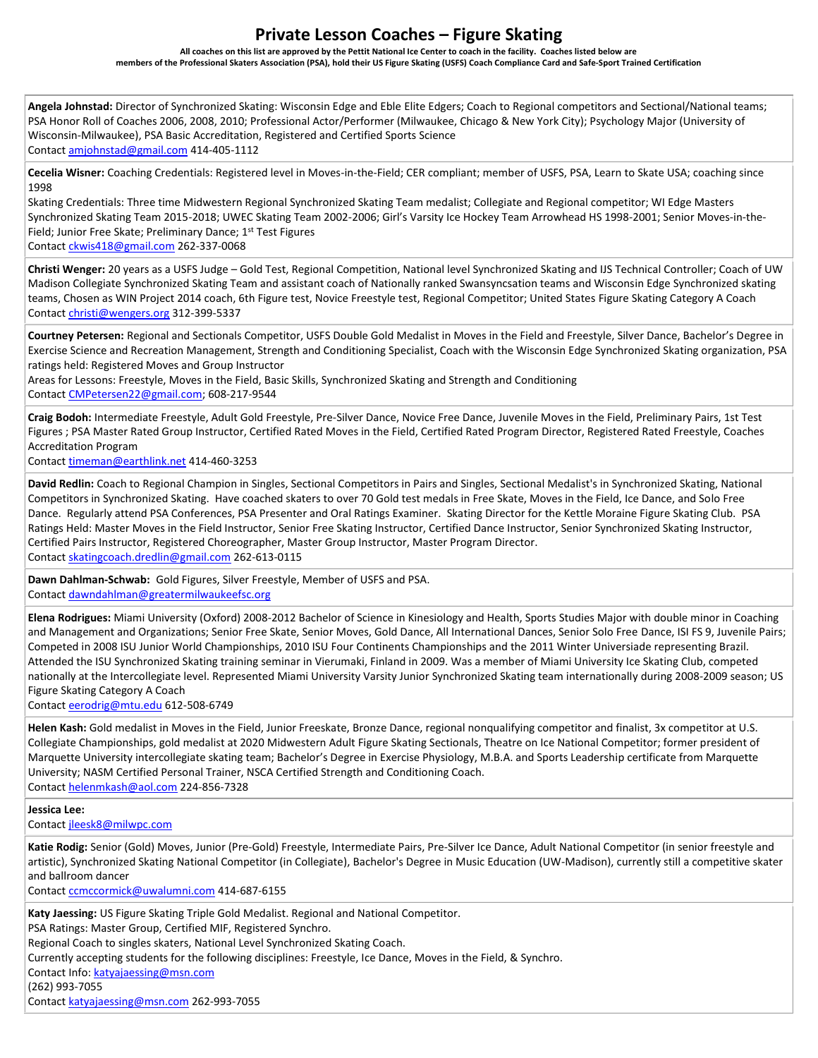## **Private Lesson Coaches – Figure Skating**

**All coaches on this list are approved by the Pettit National Ice Center to coach in the facility. Coaches listed below are members of the Professional Skaters Association (PSA), hold their US Figure Skating (USFS) Coach Compliance Card and Safe-Sport Trained Certification**

**Angela Johnstad:** Director of Synchronized Skating: Wisconsin Edge and Eble Elite Edgers; Coach to Regional competitors and Sectional/National teams; PSA Honor Roll of Coaches 2006, 2008, 2010; Professional Actor/Performer (Milwaukee, Chicago & New York City); Psychology Major (University of Wisconsin-Milwaukee), PSA Basic Accreditation, Registered and Certified Sports Science Contac[t amjohnstad@gmail.com](mailto:amjohnstad@gmail.com) 414-405-1112

**Cecelia Wisner:** Coaching Credentials: Registered level in Moves-in-the-Field; CER compliant; member of USFS, PSA, Learn to Skate USA; coaching since 1998

Skating Credentials: Three time Midwestern Regional Synchronized Skating Team medalist; Collegiate and Regional competitor; WI Edge Masters Synchronized Skating Team 2015-2018; UWEC Skating Team 2002-2006; Girl's Varsity Ice Hockey Team Arrowhead HS 1998-2001; Senior Moves-in-the-Field; Junior Free Skate; Preliminary Dance; 1st Test Figures Contac[t ckwis418@gmail.com](mailto:ckwis418@gmail.com) 262-337-0068

**Christi Wenger:** 20 years as a USFS Judge – Gold Test, Regional Competition, National level Synchronized Skating and IJS Technical Controller; Coach of UW Madison Collegiate Synchronized Skating Team and assistant coach of Nationally ranked Swansyncsation teams and Wisconsin Edge Synchronized skating teams, Chosen as WIN Project 2014 coach, 6th Figure test, Novice Freestyle test, Regional Competitor; United States Figure Skating Category A Coach Contac[t christi@wengers.org](mailto:christi@wengers.org) 312-399-5337

**Courtney Petersen:** Regional and Sectionals Competitor, USFS Double Gold Medalist in Moves in the Field and Freestyle, Silver Dance, Bachelor's Degree in Exercise Science and Recreation Management, Strength and Conditioning Specialist, Coach with the Wisconsin Edge Synchronized Skating organization, PSA ratings held: Registered Moves and Group Instructor

Areas for Lessons: Freestyle, Moves in the Field, Basic Skills, Synchronized Skating and Strength and Conditioning Contac[t CMPetersen22@gmail.com;](mailto:CMPetersen22@gmail.com) 608-217-9544

**Craig Bodoh:** Intermediate Freestyle, Adult Gold Freestyle, Pre-Silver Dance, Novice Free Dance, Juvenile Moves in the Field, Preliminary Pairs, 1st Test Figures ; PSA Master Rated Group Instructor, Certified Rated Moves in the Field, Certified Rated Program Director, Registered Rated Freestyle, Coaches Accreditation Program

Contac[t timeman@earthlink.net](mailto:timeman@earthlink.net) 414-460-3253

**David Redlin:** Coach to Regional Champion in Singles, Sectional Competitors in Pairs and Singles, Sectional Medalist's in Synchronized Skating, National Competitors in Synchronized Skating. Have coached skaters to over 70 Gold test medals in Free Skate, Moves in the Field, Ice Dance, and Solo Free Dance. Regularly attend PSA Conferences, PSA Presenter and Oral Ratings Examiner. Skating Director for the Kettle Moraine Figure Skating Club. PSA Ratings Held: Master Moves in the Field Instructor, Senior Free Skating Instructor, Certified Dance Instructor, Senior Synchronized Skating Instructor, Certified Pairs Instructor, Registered Choreographer, Master Group Instructor, Master Program Director. Contact [skatingcoach.dredlin@gmail.com](mailto:skatingcoach.dredlin@gmail.com) 262-613-0115

**Dawn Dahlman-Schwab:** Gold Figures, Silver Freestyle, Member of USFS and PSA. Contac[t dawndahlman@greatermilwaukeefsc.org](mailto:dawndahlman@greatermilwaukeefsc.org)

**Elena Rodrigues:** Miami University (Oxford) 2008-2012 Bachelor of Science in Kinesiology and Health, Sports Studies Major with double minor in Coaching and Management and Organizations; Senior Free Skate, Senior Moves, Gold Dance, All International Dances, Senior Solo Free Dance, ISI FS 9, Juvenile Pairs; Competed in 2008 ISU Junior World Championships, 2010 ISU Four Continents Championships and the 2011 Winter Universiade representing Brazil. Attended the ISU Synchronized Skating training seminar in Vierumaki, Finland in 2009. Was a member of Miami University Ice Skating Club, competed nationally at the Intercollegiate level. Represented Miami University Varsity Junior Synchronized Skating team internationally during 2008-2009 season; US Figure Skating Category A Coach

Contac[t eerodrig@mtu.edu](mailto:eerodrig@mtu.edu) 612-508-6749

**Helen Kash:** Gold medalist in Moves in the Field, Junior Freeskate, Bronze Dance, regional nonqualifying competitor and finalist, 3x competitor at U.S. Collegiate Championships, gold medalist at 2020 Midwestern Adult Figure Skating Sectionals, Theatre on Ice National Competitor; former president of Marquette University intercollegiate skating team; Bachelor's Degree in Exercise Physiology, M.B.A. and Sports Leadership certificate from Marquette University; NASM Certified Personal Trainer, NSCA Certified Strength and Conditioning Coach. Contac[t helenmkash@aol.com](mailto:helenmkash@aol.com) 224-856-7328

**Jessica Lee:**

Contac[t jleesk8@milwpc.com](mailto:jleesk8@milwpc.com)

**Katie Rodig:** Senior (Gold) Moves, Junior (Pre-Gold) Freestyle, Intermediate Pairs, Pre-Silver Ice Dance, Adult National Competitor (in senior freestyle and artistic), Synchronized Skating National Competitor (in Collegiate), Bachelor's Degree in Music Education (UW-Madison), currently still a competitive skater and ballroom dancer

Contac[t ccmccormick@uwalumni.com](mailto:ccmccormick@uwalumni.com) 414-687-6155

**Katy Jaessing:** US Figure Skating Triple Gold Medalist. Regional and National Competitor. PSA Ratings: Master Group, Certified MIF, Registered Synchro. Regional Coach to singles skaters, National Level Synchronized Skating Coach. Currently accepting students for the following disciplines: Freestyle, Ice Dance, Moves in the Field, & Synchro. Contact Info[: katyajaessing@msn.com](mailto:katyajaessing@msn.com) (262) 993-7055 Contac[t katyajaessing@msn.com](mailto:katyajaessing@msn.com) 262-993-7055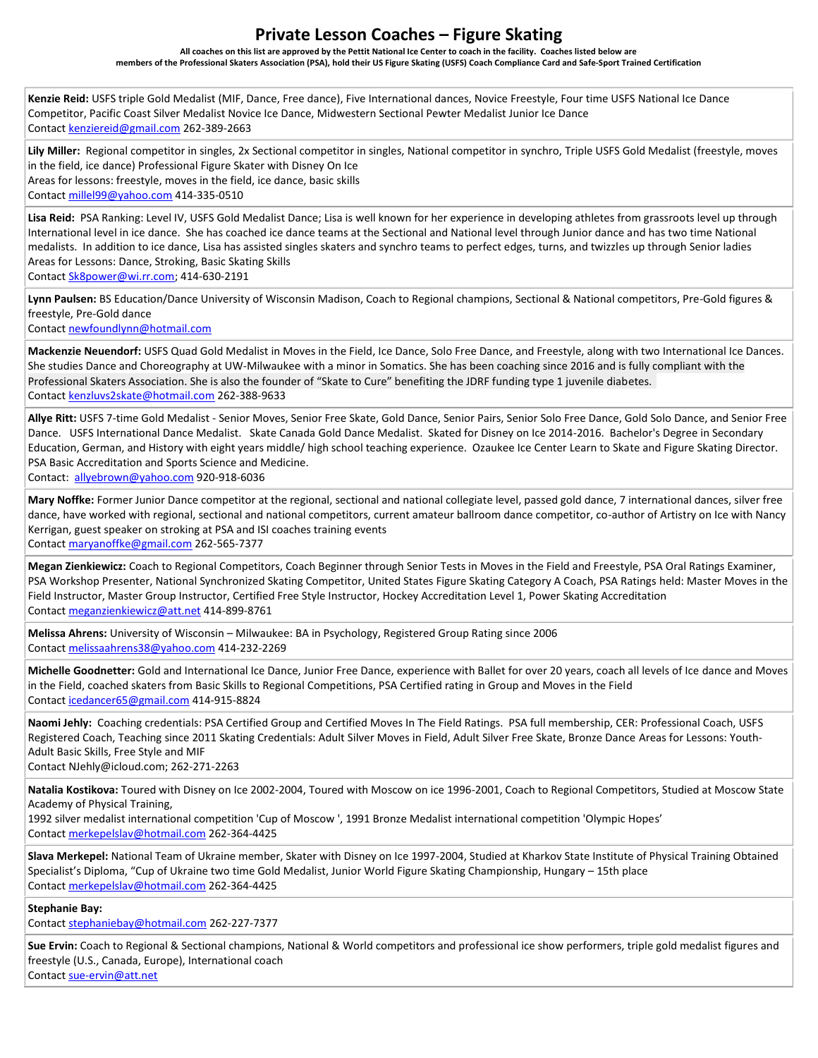## **Private Lesson Coaches – Figure Skating**

**All coaches on this list are approved by the Pettit National Ice Center to coach in the facility. Coaches listed below are members of the Professional Skaters Association (PSA), hold their US Figure Skating (USFS) Coach Compliance Card and Safe-Sport Trained Certification**

**Kenzie Reid:** USFS triple Gold Medalist (MIF, Dance, Free dance), Five International dances, Novice Freestyle, Four time USFS National Ice Dance Competitor, Pacific Coast Silver Medalist Novice Ice Dance, Midwestern Sectional Pewter Medalist Junior Ice Dance Contac[t kenziereid@gmail.com](mailto:kenziereid@gmail.com) 262-389-2663

**Lily Miller:** Regional competitor in singles, 2x Sectional competitor in singles, National competitor in synchro, Triple USFS Gold Medalist (freestyle, moves in the field, ice dance) Professional Figure Skater with Disney On Ice Areas for lessons: freestyle, moves in the field, ice dance, basic skills Contac[t millel99@yahoo.com](mailto:millel99@yahoo.com) 414-335-0510

**Lisa Reid:** PSA Ranking: Level IV, USFS Gold Medalist Dance; Lisa is well known for her experience in developing athletes from grassroots level up through International level in ice dance. She has coached ice dance teams at the Sectional and National level through Junior dance and has two time National medalists. In addition to ice dance, Lisa has assisted singles skaters and synchro teams to perfect edges, turns, and twizzles up through Senior ladies Areas for Lessons: Dance, Stroking, Basic Skating Skills Contac[t Sk8power@wi.rr.com;](mailto:Sk8power@wi.rr.com) 414-630-2191

**Lynn Paulsen:** BS Education/Dance University of Wisconsin Madison, Coach to Regional champions, Sectional & National competitors, Pre-Gold figures & freestyle, Pre-Gold dance

Contac[t newfoundlynn@hotmail.com](mailto:newfoundlynn@hotmail.com)

**Mackenzie Neuendorf:** USFS Quad Gold Medalist in Moves in the Field, Ice Dance, Solo Free Dance, and Freestyle, along with two International Ice Dances. She studies Dance and Choreography at UW-Milwaukee with a minor in Somatics. She has been coaching since 2016 and is fully compliant with the Professional Skaters Association. She is also the founder of "Skate to Cure" benefiting the JDRF funding type 1 juvenile diabetes. Contac[t kenzluvs2skate@hotmail.com](mailto:kenzluvs2skate@hotmail.com) 262-388-9633

**Allye Ritt:** USFS 7-time Gold Medalist - Senior Moves, Senior Free Skate, Gold Dance, Senior Pairs, Senior Solo Free Dance, Gold Solo Dance, and Senior Free Dance. USFS International Dance Medalist. Skate Canada Gold Dance Medalist. Skated for Disney on Ice 2014-2016. Bachelor's Degree in Secondary Education, German, and History with eight years middle/ high school teaching experience. Ozaukee Ice Center Learn to Skate and Figure Skating Director. PSA Basic Accreditation and Sports Science and Medicine.

Contact: [allyebrown@yahoo.com](mailto:allyebrown@yahoo.com) 920-918-6036

**Mary Noffke:** Former Junior Dance competitor at the regional, sectional and national collegiate level, passed gold dance, 7 international dances, silver free dance, have worked with regional, sectional and national competitors, current amateur ballroom dance competitor, co-author of Artistry on Ice with Nancy Kerrigan, guest speaker on stroking at PSA and ISI coaches training events

Contac[t maryanoffke@gmail.com](mailto:maryanoffke@gmail.com) 262-565-7377

**Megan Zienkiewicz:** Coach to Regional Competitors, Coach Beginner through Senior Tests in Moves in the Field and Freestyle, PSA Oral Ratings Examiner, PSA Workshop Presenter, National Synchronized Skating Competitor, United States Figure Skating Category A Coach, PSA Ratings held: Master Moves in the Field Instructor, Master Group Instructor, Certified Free Style Instructor, Hockey Accreditation Level 1, Power Skating Accreditation Contac[t meganzienkiewicz@att.net](mailto:meganzienkiewicz@att.net) 414-899-8761

**Melissa Ahrens:** University of Wisconsin – Milwaukee: BA in Psychology, Registered Group Rating since 2006 Contac[t melissaahrens38@yahoo.com](mailto:melissaahrens38@yahoo.com) 414-232-2269

**Michelle Goodnetter:** Gold and International Ice Dance, Junior Free Dance, experience with Ballet for over 20 years, coach all levels of Ice dance and Moves in the Field, coached skaters from Basic Skills to Regional Competitions, PSA Certified rating in Group and Moves in the Field Contac[t icedancer65@gmail.com](mailto:icedancer65@gmail.com) 414-915-8824

**Naomi Jehly:** Coaching credentials: PSA Certified Group and Certified Moves In The Field Ratings. PSA full membership, CER: Professional Coach, USFS Registered Coach, Teaching since 2011 Skating Credentials: Adult Silver Moves in Field, Adult Silver Free Skate, Bronze Dance Areas for Lessons: Youth-Adult Basic Skills, Free Style and MIF Contact NJehly@icloud.com; 262-271-2263

**Natalia Kostikova:** Toured with Disney on Ice 2002-2004, Toured with Moscow on ice 1996-2001, Coach to Regional Competitors, Studied at Moscow State Academy of Physical Training,

1992 silver medalist international competition 'Cup of Moscow ', 1991 Bronze Medalist international competition 'Olympic Hopes' Contac[t merkepelslav@hotmail.com](mailto:merkepelslav@hotmail.com) 262-364-4425

**Slava Merkepel:** National Team of Ukraine member, Skater with Disney on Ice 1997-2004, Studied at Kharkov State Institute of Physical Training Obtained Specialist's Diploma, "Cup of Ukraine two time Gold Medalist, Junior World Figure Skating Championship, Hungary – 15th place Contac[t merkepelslav@hotmail.com](mailto:merkepelslav@hotmail.com) 262-364-4425

**Stephanie Bay:**

Contac[t stephaniebay@hotmail.com](mailto:stephaniebay@hotmail.com) 262-227-7377

**Sue Ervin:** Coach to Regional & Sectional champions, National & World competitors and professional ice show performers, triple gold medalist figures and freestyle (U.S., Canada, Europe), International coach

Contac[t sue-ervin@att.net](mailto:sue-ervin@att.net)